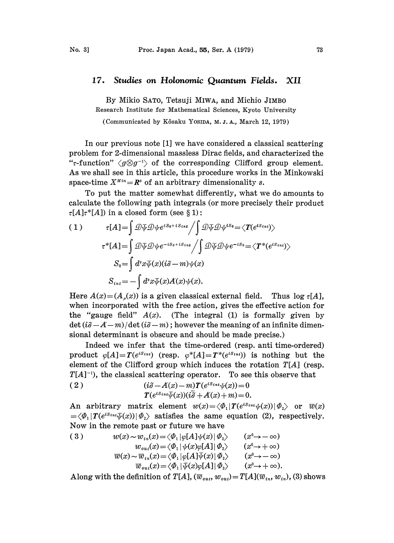## 17. Studies on Holonomic Quantum Fields. XII

By Mikio SATO, Tetsuji MIWA, and Michio JIMBO Research Institute for Mathematical Sciences, Kyoto University

(Communicated by Kôsaku YOSIDA, M. J. A., March 12, 1979)

In our previous note [1] we have considered a classical scattering problem for 2-dimensional massless Dirac fields., and characterized the "*r*-function"  $\langle g \otimes g^{-1} \rangle$  of the corresponding Clifford group element. As we shall see in this article, this procedure works in the Minkowski space-time  $X^{Min} = \mathbb{R}^s$  of an arbitrary dimensionality s.

To put the matter somewhat differently, what we do amounts to calculate the following path integrals (or more precisely their product  $\tau[A]\tau^*[A]$  in a closed form (see § 1):

(1) 
$$
\tau[A] = \int \mathcal{D}\overline{\psi} \mathcal{D}\psi e^{iS_0 + iS_{int}} / \int \mathcal{D}\overline{\psi} \mathcal{D}\psi^{iS_0} = \langle T(e^{iS_{int}}) \rangle
$$

$$
\tau^*[A] = \int \mathcal{D}\overline{\psi} \mathcal{D}\psi e^{-iS_0 + iS_{int}} / \int \mathcal{D}\overline{\psi} \mathcal{D}\psi e^{-iS_0} = \langle T^*(e^{iS_{int}}) \rangle
$$

$$
S_0 = \int d^s x \overline{\psi}(x)(i\partial - m)\psi(x)
$$

$$
S_{int} = -\int d^s x \overline{\psi}(x)A(x)\psi(x).
$$

Here  $A(x) = (A_x(x))$  is a given classical external field. Thus log  $\tau[A]$ , when incorporated wih he free action, gives he effective action for the "gauge field"  $A(x)$ . (The integral (1) is formally given by  $\det (i\partial - A-m)/\det (i\partial -m)$ ; however the meaning of an infinite dimensional determinant is obscure and should be made precise.)

Indeed we infer that the time-ordered (resp. anti time-ordered) product  $\varphi[A] = T(e^{iS_{int}})$  (resp.  $\varphi^*[A] = T^*(e^{iS_{int}})$ ) is nothing but the element of the Clifford group which induces the rotation  $T[A]$  (resp.  $T[A]^{-1}$ , the classical scattering operator. To see this observe that

(2) 
$$
(i\partial - A(x) - m)T(e^{iS_{int}}\psi(x)) = 0
$$

$$
T(e^{iS_{int}}\overline{\psi}(x)) (i\overline{\partial} + A(x) + m) = 0
$$

An arbitrary matrix element  $w(x) = \langle \Phi_1 | T(e^{iS_{int}} \psi(x)) | \Phi_2 \rangle$  or  $\overline{w}(x)$  $=\langle \Phi_1 | T(e^{i S_{int}} \overline{\psi}(x)) | \Phi_2 \rangle$  satisfies the same equation (2), respectively.

Now in the remote past or future we have  
\n(3) 
$$
w(x) \sim w_{in}(x) = \langle \Phi_1 | \varphi[A] \psi(x) | \Phi_2 \rangle \qquad (x^0 \to -\infty)
$$
\n
$$
w_{out}(x) = \langle \Phi_1 | \psi(x) \varphi[A] | \Phi_2 \rangle \qquad (x^0 \to +\infty)
$$
\n
$$
\overline{w}(x) \sim \overline{w}_{in}(x) = \langle \Phi_1 | \varphi[A] \overline{\psi}(x) | \Phi_2 \rangle \qquad (x^0 \to -\infty)
$$
\n
$$
\overline{w}_{out}(x) = \langle \Phi_1 | \overline{\psi}(x) \varphi[A] | \Phi_2 \rangle \qquad (x^0 \to +\infty).
$$

Along with the definition of  $T[A], (\overline{w}_{out}, w_{out}) = T[A](\overline{w}_{in}, w_{in}),$  (3) shows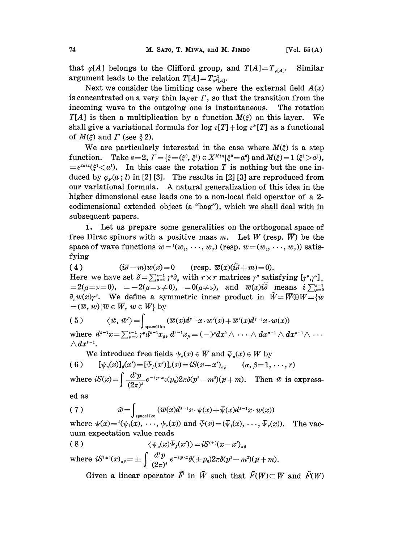that  $\varphi[A]$  belongs to the Clifford group, and  $T[A]=T_{\varphi[A]}$ . Similar argument leads to the relation  $T[A]=T_{\varphi^* [A]}^{-1}$ .

Next we consider the limiting case where the external field  $A(x)$ is concentrated on a very thin layer  $\Gamma$ , so that the transition from the incoming wave to the outgoing one is instantaneous. The rotation  $T[A]$  is then a multiplication by a function  $M(\xi)$  on this layer. We shall give a variational formula for  $\log \tau[T] + \log \tau[T]$  as a functional of  $M(\xi)$  and  $\Gamma$  (see § 2).

We are particularly interested in the case where  $M(\xi)$  is a step function. Take  $s=2$ ,  $\Gamma = {\xi = (\xi^0, \xi^1) \in X^{Min} | \xi^0 = a^0}$  and  $M(\xi) = 1 (\xi^1 > a^1)$ ,  $=e^{2\pi i l}(\xi^1\zeta a^l)$ . In this case the rotation T is nothing but the one induced by  $\varphi_F(a; l)$  in [2] [3]. The results in [2] [3] are reproduced from our variational formula. A natural generalization of this idea in the higher dimensional case leads one to a non-local field operator of a 2 codimensional extended object (a "bag"), which we shall deal with in subsequent papers..

1. Let us prepare some generalities on the orthogonal space of free Dirac spinors with a positive mass m. Let W (resp.  $\overline{W}$ ) be the space of wave functions  $w = (w_1, \dots, w_r)$  (resp.  $\overline{w} = (\overline{w}_1, \dots, \overline{w}_r)$ ) satisfying

( 4 )  $(i\tilde{\partial}-m)w(x)=0$  (resp.  $\overline{w}(x)(i\tilde{\partial}+m)=0$ ). Here we have set  $\tilde{\theta}=\sum_{\mu=0}^{s-1}\gamma^{\mu}\partial_{\mu}$  with  $r \times r$  matrices  $\gamma^{\mu}$  satisfying  $[\gamma^{\mu},\gamma^{\nu}]_{+}$  $z=2(\mu-\nu=0), =-2(\mu-\nu\neq0), =0(\mu\neq\nu),$  and  $\overline{w}(x)i\overline{\partial}$  means  $i\sum_{\mu=0}^{s-1}$  $\partial_{\mu}\overline{w}(x)\gamma^{\mu}$ . We define a symmetric inner product in  $\widetilde{W}=\overline{W}\bigoplus W=\{\widetilde{w}\}$  $=(\overline{w}, w)|\overline{w} \in \overline{W}$ ,  $w \in W$  by

$$
(5) \qquad \langle \tilde{w}, \tilde{w}' \rangle = \int_{\text{spacelike}} (\overline{w}(x)d^{s-1}x \cdot w'(x) + \overline{w}'(x)d^{s-1}x \cdot w(x))
$$
\n
$$
\text{where } d^{s-1}x = \sum_{\mu=0}^{s-1} \gamma^{\mu} d^{s-1}x_{\hat{\mu}}, d^{s-1}x_{\hat{\mu}} = (-)^{\mu} dx^{0} \wedge \cdots \wedge dx^{\mu-1} \wedge dx^{\mu+1} \wedge \cdots \wedge dx^{\mu+1} \wedge dx^{\mu+1}.
$$

We introduce free fields  $\psi_a(x) \in \overline{W}$  and  $\overline{\psi}_a(x) \in W$  by ( 6 )  $[\psi_a(x)]_\beta(x') = [\bar{\psi}_\beta(x')]_a(x) = iS(x-x')_{\alpha\beta} \qquad (\alpha, \beta = 1, \cdots, r)$ where  $iS(x) = \int \frac{d^s p}{(2\pi)^s} e^{-ip\cdot x} \varepsilon(p_0) 2\pi \delta(p^2 - m^2)(p+m)$ . Then  $\tilde{w}$  is express-

ed as

(7) 
$$
\tilde{w} = \int_{\text{spacelike}} (\overline{w}(x)d^{s-1}x \cdot \psi(x) + \overline{\psi}(x)d^{s-1}x \cdot w(x))
$$

 $\tilde{w} = \int_{\text{spacelike}} (\overline{w}(x)d^{s-1}x \cdot \psi(x) + \overline{\psi}(x)d^{s-1}x \cdot w(x))$ <br>  ${}^{t}(\psi_1(x), \dots, \psi_r(x))$  and  $\overline{\psi}(x) = (\overline{\psi}_1(x), \dots, \overline{\psi}_r(x))$ <br>
tion value reads where  $\psi(x) = ^t(\psi_1(x), \dots, \psi_r(x))$  and  $\overline{\psi}(x) = (\overline{\psi}_1(x), \dots, \overline{\psi}_r(x))$ . The vacuum expectation value reads.

$$
(8) \qquad \qquad \langle \psi_a(x) \overline{\psi}_\beta(x') \rangle = iS^{(+)}(x-x')_{\alpha\beta}
$$

where 
$$
iS^{(1)}(x)_{\alpha\beta} = \pm \int \frac{d^s p}{(2\pi)^s} e^{-ip \cdot x} \theta(\pm p_0) 2\pi \delta(p^2 - m^2)(p + m)
$$
.  
Given a linear operator  $\tilde{F}$  in  $\tilde{W}$  such that  $\tilde{F}(\overline{W}) \subset \overline{W}$  and  $\tilde{F}(W)$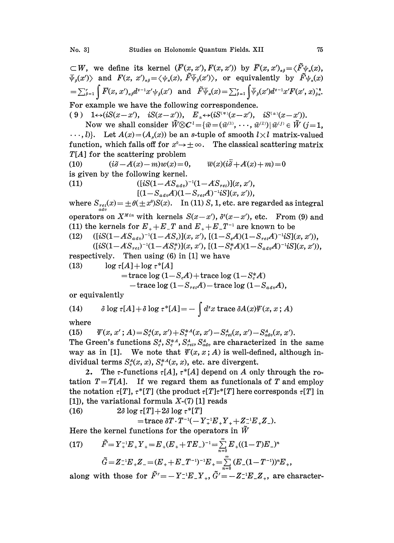$\subset W$ , we define its kernel  $(\overline{F}(x, x'), F(x, x'))$  by  $\overline{F}(x, x')_{\alpha\beta} = \langle \overline{F}\psi_{\alpha}(x),$  $\overline{\psi}_{\beta}(x')$  and  $F(x, x')_{\alpha\beta} = \langle \psi_{\alpha}(x), \tilde{F}\overline{\psi}_{\beta}(x') \rangle$ , or equivalently by  $\tilde{F}\psi_{\alpha}(x)$  $\hspace{5cm}=\sum_{\beta=1}^r\int \overline{F}(x,\,x')_{a\beta}d^{s-1}x'\psi_{\beta}(x')\ \ \text{ and }\ \ \tilde{F}\overline{\psi}_{a}(x)=\sum_{\beta=1}^r\int \overline{\psi}_{\beta}(x')d^{s-1}x'F(x',\,x)_{\beta}^{\frac{q}{q}}.$ For example we have the following correspondence.

( 9 )  $1 \leftrightarrow (iS(x-x'), \quad iS(x-x'))$ ,  $E_{\pm} \leftrightarrow (iS^{(\mp)}(x-x'), \quad iS^{(\pm)}(x-x')).$ 

Now we shall consider  $\widetilde{W}\otimes C^{\iota}=\{\widetilde{w}=(\widetilde{w}^{(1)},\,\cdots,\,\widetilde{w}^{(l)})|\,\widetilde{w}^{(j)}\in\widetilde{W}\ (j=1,\,\cdots)$  $\ldots, l$ ). Let  $A(x) = (A_u(x))$  be an s-tuple of smooth  $l \times l$  matrix-valued function, which falls off for  $x^0 \rightarrow +\infty$ . The classical scattering matrix  $T[A]$  for the scattering problem

(10)  $(i\partial -A(x)-m)w(x)=0, \qquad \overline{w}(x)(i\overline{\partial}+A(x)+m)=0$ is given by the following kernel.

(11)  $([iS(1-AS_{adv})^{-1}(1-AS_{ret})](x, x'),$  $[(1-S_{adv}A)(1-S_{ret}A)^{-1}iS](x, x'),$ 

where  $S_{ret}^{}(x) = \pm \theta(\pm x^0)S(x).$  In (11) S, 1, etc. are regarded as integral operators on  $X^{Min}$  with kernels  $S(x-x')$ ,  $\delta^{s}(x-x')$ , etc. From (9) and

(11) the kernels for  $E_+ + E_-T$  and  $E_+ + E_-T^{-1}$  are known to be<br>(12)  $\left( [iS(1 - AS_{adv})^{-1}(1 - AS_c)](x, x'), [(1 - S_cA)(1 - S_{rel}A)^{-1}iS](1 - AS_cA)^{-1} \right)$ (12)  $([iS(1-AS_{adv})^{-1}(1-AS_c)](x, x'), [(1-S_cA)(1-S_{ret}A)^{-1}iS](x, x'),$ 

 $([iS(1- AS_{ret})^{-1}(1- AS_{c}^{*})](x, x'), [(1- S_{c}^{*}A)(1- S_{adv}A)^{-1}iS](x, x'),$ respectively. Then using  $(\beta)$  in [1] we have

$$
\begin{array}{ll}\n\text{respectively.} & \text{Then using (6) in [1] we have} \\
(13) & \log \tau[A] + \log \tau^*[A] \\
& = \text{trace} \log \left(1 - S_c A\right) + \text{trace} \log \left(1 - S_c^* A\right) \\
& \quad - \text{trace} \log \left(1 - S_{ret} A\right) - \text{trace} \log \left(1 - S_{adv} A\right),\n\end{array}
$$

or equivalently

(14) 
$$
\delta \log \tau[A] + \delta \log \tau^*[A] = - \int d^s x \operatorname{trace} \delta A(x) \Psi(x, x; A)
$$

where

(15)  $\psi(x, x'; A) = S_c^A(x, x') + S_c^{A}(x, x') - S_{ret}^A(x, x') - S_{adv}^A(x, x').$ The Green's functions  $S_c^A$ ,  $S_c^*$ ,  $S_{net}^A$ ,  $S_{adv}^A$  are characterized in the same way as in [1]. We note that  $\mathcal{V}(x, x; A)$  is well-defined, although individual terms  $S_c^A(x, x)$ ,  $S_c^{A}(x, x)$ , etc. are divergent.

2. The *r*-functions  $\tau[A], \tau^*[A]$  depend on A only through the rotation  $T=T[A]$ . If we regard them as functionals of T and employ the notation  $\tau[T], \tau^{*}[T]$  (the product  $\tau[T]\tau^{*}[T]$  here corresponds  $\tau[T]$  in [1]), the variational formula  $X-(7)$  [1] reads

(16)  $2\delta \log \tau[T] + 2\delta \log \tau^{*}[T]$ 

 $t = \text{trace } \delta T \cdot T^{-1}(-Y_{+}^{-1}E_{+}Y_{+} + Z_{-}^{-1}E_{+}Z_{-}).$ 

Here the kernel functions for the operators in  $\tilde{W}$ 

(17) 
$$
\tilde{F} = Y_{+}^{-1}E_{+}Y_{+} = E_{+}(E_{+} + TE_{-})^{-1} = \sum_{n=0}^{\infty} E_{+}((1-T)E_{-})^{n}
$$

$$
\tilde{G} = Z_{-}^{-1}E_{+}Z_{-} = (E_{+} + E_{-}T^{-1})^{-1}E_{+} = \sum_{n=0}^{\infty} (E_{-}(1 - T^{-1}))^{n}E_{+}
$$

along with those for  $\tilde{F}'=-Y_-^{-1}E_-Y_+$ ,  $\tilde{G}'=-Z_-^{-1}E_-Z_+$ , are character-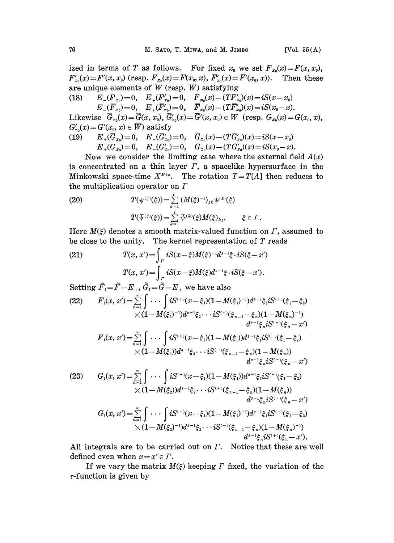ized in terms of T as follows. For fixed  $x_0$  we set  $F_{x_0}(x) = F(x, x_0)$ ,  $F'_{x_0}(x) = F'(x, x_0)$  (resp.  $\overline{F}_{x_0}(x) = \overline{F}(x_0, x)$ ,  $\overline{F}'_{x_0}(x) = \overline{F}'(x_0, x)$ ). Then these are unique elements of W (resp.  $\overline{W}$ ) satisfying

(18)  $E_{-}(F_{x_0})=0$ ,  $E_{+}(F'_{x_0})=0$ ,  $F_{x_0}(x)-(TF'_{x_0})(x)=iS(x-x_0)$  $E_{-}(\overline{F}_{x_0})=0, \quad E_{+}(\overline{F}_{x_0}')=0, \quad \overline{F}_{x_0}(x)-(TF'_{x_0})(x)=iS(x_0-x).$ 

Likewise  $\bar{G}_{x_0}(x) = \bar{G}(x, x_0), \ \bar{G}'_{x_0}(x) = \bar{G}'(x, x_0) \in W$  (resp.  $G_{x_0}(x) = G(x_0, x)$ ,  $G'_{x_0}(x) = G'(x_0, x) \in \overline{W}$  satisfy

$$
(19) \qquad E_{+}(G_{x_{0}})=0, \quad E_{-}(G'_{x_{0}})=0, \quad G_{x_{0}}(x)-(TG'_{x_{0}})(x)=iS(x-x_{0})\\ E_{+}(G_{x_{0}})=0, \quad E_{-}(G'_{x_{0}})=0, \quad G_{x_{0}}(x)-(TG'_{x_{0}})(x)=iS(x_{0}-x).
$$

Now we consider the limiting case where the external field  $A(x)$ is concentrated on a thin layer  $\Gamma$ , a spacelike hypersurface in the Minkowski space-time  $X^{Min}$ . The rotation  $T=T[A]$  then reduces to the multiplication operator on  $\Gamma$ 

(20) 
$$
T(\psi^{(j)}(\xi)) = \sum_{k=1}^{l} (M(\xi)^{-1})_{jk} \psi^{(k)}(\xi)
$$

$$
T(\bar{\psi}^{(j)}(\xi)) = \sum_{k=1}^{l} \bar{\psi}^{(k)}(\xi) M(\xi)_{kj}, \qquad \xi \in \Gamma.
$$

Here  $M(\xi)$  denotes a smooth matrix-valued function on  $\Gamma$ , assumed to be close to the unity. The kernel representation of  $T$  reads

(21) 
$$
\overline{T}(x, x') = \int_{\Gamma} iS(x - \xi)M(\xi)^{-1}d^{s-1}\xi \cdot iS(\xi - x')
$$

$$
T(x, x') = \int_{\Gamma} iS(x - \xi)M(\xi)d^{s-1}\xi \cdot iS(\xi - x').
$$

Setting 
$$
\tilde{F}_1 = \tilde{F} - E_+, \tilde{G}_1 = \tilde{G} - E_+
$$
 we have also  
\n(22)  $\overline{F}_1(x, x') = \sum_{n=1}^{\infty} \int \cdots \int iS^{(+)}(x-\xi_1)(1-M(\xi_1)^{-1})d^{s-1}\xi_1 iS^{(+)}(\xi_1-\xi_2)$   
\n $\times (1-M(\xi_2)^{-1})d^{s-1}\xi_2 \cdots iS^{(+)}(\xi_{n-1}-\xi_n)(1-M(\xi_n)^{-1})$   
\n $d^{s-1}\xi_n iS^{(-)}(\xi_n-x')$   
\n $F_1(x, x') = \sum_{n=1}^{\infty} \int \cdots \int iS^{(+)}(x-\xi_1)(1-M(\xi_1))d^{s-1}\xi_1 iS^{(-)}(\xi_1-\xi_2)$   
\n $\times (1-M(\xi_2))d^{s-1}\xi_2 \cdots iS^{(-)}(\xi_{n-1}-\xi_n)(1-M(\xi_n))$   
\n $d^{s-1}\xi_n iS^{(-)}(\xi_n-x')$   
\n(23)  $G_1(x, x') = \sum_{n=1}^{\infty} \int \cdots \int iS^{(-)}(x-\xi_1)(1-M(\xi_1))d^{s-1}\xi_1 iS^{(+)}(\xi_1-\xi_2)$   
\n $\times (1-M(\xi_2))d^{s-1}\xi_2 \cdots iS^{(+)}(\xi_{n-1}-\xi_n)(1-M(\xi_n))$   
\n $d^{s-1}\xi_n iS^{(+)}(\xi_n-x')$   
\n $G_1(x, x') = \sum_{n=1}^{\infty} \int \cdots \int iS^{(-)}(x-\xi_1)(1-M(\xi_1)^{-1})d^{s-1}\xi_1 iS^{(-)}(\xi_1-\xi_2)$   
\n $\times (1-M(\xi_2)^{-1})d^{s-1}\xi_2 \cdots iS^{(-)}(\xi_{n-1}-\xi_n)(1-M(\xi_n)^{-1})$   
\n $d^{s-1}\xi_n iS^{(+)}(\xi_n-x')$ .

All integrals are to be carried out on  $\Gamma$ . Notice that these are well defined even when  $x = x' \in \Gamma$ .

If we vary the matrix  $M(\xi)$  keeping  $\Gamma$  fixed, the variation of the  $\tau$ -function is given by